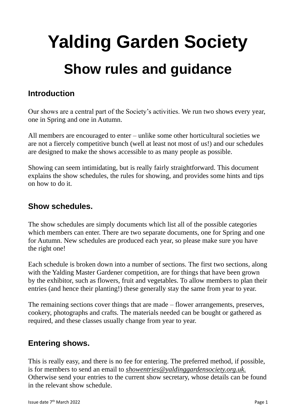# **Yalding Garden Society Show rules and guidance**

# **Introduction**

Our shows are a central part of the Society's activities. We run two shows every year, one in Spring and one in Autumn.

All members are encouraged to enter – unlike some other horticultural societies we are not a fiercely competitive bunch (well at least not most of us!) and our schedules are designed to make the shows accessible to as many people as possible.

Showing can seem intimidating, but is really fairly straightforward. This document explains the show schedules, the rules for showing, and provides some hints and tips on how to do it.

#### **Show schedules.**

The show schedules are simply documents which list all of the possible categories which members can enter. There are two separate documents, one for Spring and one for Autumn. New schedules are produced each year, so please make sure you have the right one!

Each schedule is broken down into a number of sections. The first two sections, along with the Yalding Master Gardener competition, are for things that have been grown by the exhibitor, such as flowers, fruit and vegetables. To allow members to plan their entries (and hence their planting!) these generally stay the same from year to year.

The remaining sections cover things that are made – flower arrangements, preserves, cookery, photographs and crafts. The materials needed can be bought or gathered as required, and these classes usually change from year to year.

## **Entering shows.**

This is really easy, and there is no fee for entering. The preferred method, if possible, is for members to send an email to *showentries@yaldinggardensociety.org.uk.* Otherwise send your entries to the current show secretary, whose details can be found in the relevant show schedule.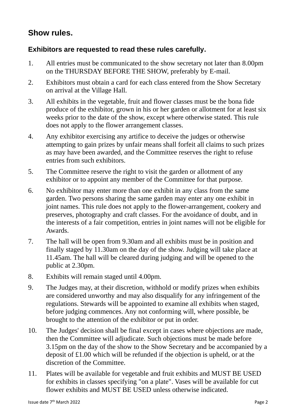# **Show rules.**

#### **Exhibitors are requested to read these rules carefully.**

- 1. All entries must be communicated to the show secretary not later than 8.00pm on the THURSDAY BEFORE THE SHOW, preferably by E-mail.
- 2. Exhibitors must obtain a card for each class entered from the Show Secretary on arrival at the Village Hall.
- 3. All exhibits in the vegetable, fruit and flower classes must be the bona fide produce of the exhibitor, grown in his or her garden or allotment for at least six weeks prior to the date of the show, except where otherwise stated. This rule does not apply to the flower arrangement classes.
- 4. Any exhibitor exercising any artifice to deceive the judges or otherwise attempting to gain prizes by unfair means shall forfeit all claims to such prizes as may have been awarded, and the Committee reserves the right to refuse entries from such exhibitors.
- 5. The Committee reserve the right to visit the garden or allotment of any exhibitor or to appoint any member of the Committee for that purpose.
- 6. No exhibitor may enter more than one exhibit in any class from the same garden. Two persons sharing the same garden may enter any one exhibit in joint names. This rule does not apply to the flower-arrangement, cookery and preserves, photography and craft classes. For the avoidance of doubt, and in the interests of a fair competition, entries in joint names will not be eligible for Awards.
- 7. The hall will be open from 9.30am and all exhibits must be in position and finally staged by 11.30am on the day of the show. Judging will take place at 11.45am. The hall will be cleared during judging and will be opened to the public at 2.30pm.
- 8. Exhibits will remain staged until 4.00pm.
- 9. The Judges may, at their discretion, withhold or modify prizes when exhibits are considered unworthy and may also disqualify for any infringement of the regulations. Stewards will be appointed to examine all exhibits when staged, before judging commences. Any not conforming will, where possible, be brought to the attention of the exhibitor or put in order.
- 10. The Judges' decision shall be final except in cases where objections are made, then the Committee will adjudicate. Such objections must be made before 3.15pm on the day of the show to the Show Secretary and be accompanied by a deposit of £1.00 which will be refunded if the objection is upheld, or at the discretion of the Committee.
- 11. Plates will be available for vegetable and fruit exhibits and MUST BE USED for exhibits in classes specifying "on a plate". Vases will be available for cut flower exhibits and MUST BE USED unless otherwise indicated.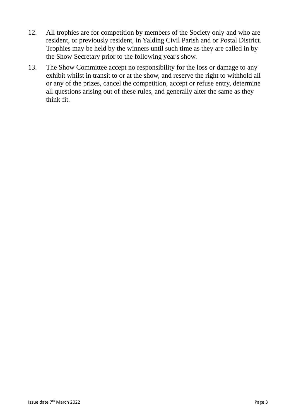- 12. All trophies are for competition by members of the Society only and who are resident, or previously resident, in Yalding Civil Parish and or Postal District. Trophies may be held by the winners until such time as they are called in by the Show Secretary prior to the following year's show.
- 13. The Show Committee accept no responsibility for the loss or damage to any exhibit whilst in transit to or at the show, and reserve the right to withhold all or any of the prizes, cancel the competition, accept or refuse entry, determine all questions arising out of these rules, and generally alter the same as they think fit.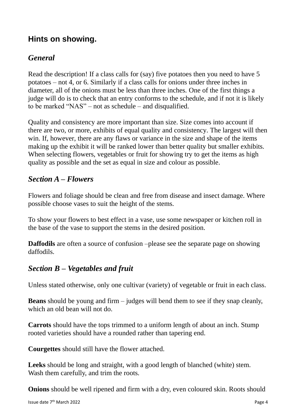## **Hints on showing.**

### *General*

Read the description! If a class calls for (say) five potatoes then you need to have 5 potatoes – not 4, or 6. Similarly if a class calls for onions under three inches in diameter, all of the onions must be less than three inches. One of the first things a judge will do is to check that an entry conforms to the schedule, and if not it is likely to be marked "NAS" – not as schedule – and disqualified.

Quality and consistency are more important than size. Size comes into account if there are two, or more, exhibits of equal quality and consistency. The largest will then win. If, however, there are any flaws or variance in the size and shape of the items making up the exhibit it will be ranked lower than better quality but smaller exhibits. When selecting flowers, vegetables or fruit for showing try to get the items as high quality as possible and the set as equal in size and colour as possible.

#### *Section A – Flowers*

Flowers and foliage should be clean and free from disease and insect damage. Where possible choose vases to suit the height of the stems.

To show your flowers to best effect in a vase, use some newspaper or kitchen roll in the base of the vase to support the stems in the desired position.

**Daffodils** are often a source of confusion –please see the separate page on showing daffodils.

#### *Section B – Vegetables and fruit*

Unless stated otherwise, only one cultivar (variety) of vegetable or fruit in each class.

**Beans** should be young and firm – judges will bend them to see if they snap cleanly, which an old bean will not do.

**Carrots** should have the tops trimmed to a uniform length of about an inch. Stump rooted varieties should have a rounded rather than tapering end.

**Courgettes** should still have the flower attached.

**Leeks** should be long and straight, with a good length of blanched (white) stem. Wash them carefully, and trim the roots.

**Onions** should be well ripened and firm with a dry, even coloured skin. Roots should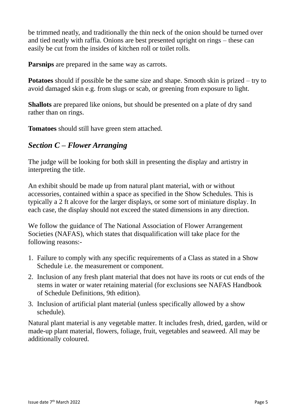be trimmed neatly, and traditionally the thin neck of the onion should be turned over and tied neatly with raffia. Onions are best presented upright on rings – these can easily be cut from the insides of kitchen roll or toilet rolls.

**Parsnips** are prepared in the same way as carrots.

**Potatoes** should if possible be the same size and shape. Smooth skin is prized – try to avoid damaged skin e.g. from slugs or scab, or greening from exposure to light.

**Shallots** are prepared like onions, but should be presented on a plate of dry sand rather than on rings.

**Tomatoes** should still have green stem attached.

## *Section C – Flower Arranging*

The judge will be looking for both skill in presenting the display and artistry in interpreting the title.

An exhibit should be made up from natural plant material, with or without accessories, contained within a space as specified in the Show Schedules. This is typically a 2 ft alcove for the larger displays, or some sort of miniature display. In each case, the display should not exceed the stated dimensions in any direction.

We follow the guidance of The National Association of Flower Arrangement Societies (NAFAS), which states that disqualification will take place for the following reasons:-

- 1. Failure to comply with any specific requirements of a Class as stated in a Show Schedule i.e. the measurement or component.
- 2. Inclusion of any fresh plant material that does not have its roots or cut ends of the stems in water or water retaining material (for exclusions see NAFAS Handbook of Schedule Definitions, 9th edition).
- 3. Inclusion of artificial plant material (unless specifically allowed by a show schedule).

Natural plant material is any vegetable matter. It includes fresh, dried, garden, wild or made-up plant material, flowers, foliage, fruit, vegetables and seaweed. All may be additionally coloured.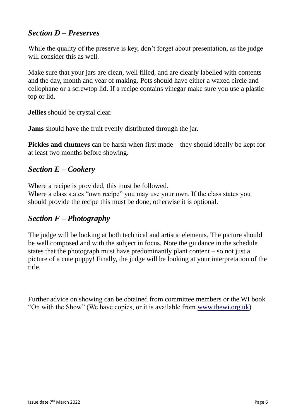## *Section D – Preserves*

While the quality of the preserve is key, don't forget about presentation, as the judge will consider this as well.

Make sure that your jars are clean, well filled, and are clearly labelled with contents and the day, month and year of making. Pots should have either a waxed circle and cellophane or a screwtop lid. If a recipe contains vinegar make sure you use a plastic top or lid.

**Jellies** should be crystal clear.

**Jams** should have the fruit evenly distributed through the jar.

**Pickles and chutneys** can be harsh when first made – they should ideally be kept for at least two months before showing.

#### *Section E – Cookery*

Where a recipe is provided, this must be followed.

Where a class states "own recipe" you may use your own. If the class states you should provide the recipe this must be done; otherwise it is optional.

#### *Section F – Photography*

The judge will be looking at both technical and artistic elements. The picture should be well composed and with the subject in focus. Note the guidance in the schedule states that the photograph must have predominantly plant content – so not just a picture of a cute puppy! Finally, the judge will be looking at your interpretation of the title.

Further advice on showing can be obtained from committee members or the WI book "On with the Show" (We have copies, or it is available from [www.thewi.org.uk\)](http://www.thewi.org.uk/)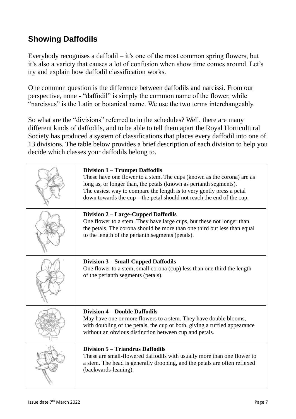# **Showing Daffodils**

Everybody recognises a daffodil – it's one of the most common spring flowers, but it's also a variety that causes a lot of confusion when show time comes around. Let's try and explain how daffodil classification works.

One common question is the difference between daffodils and narcissi. From our perspective, none - "daffodil" is simply the common name of the flower, while "narcissus" is the Latin or botanical name. We use the two terms interchangeably.

So what are the "divisions" referred to in the schedules? Well, there are many different kinds of daffodils, and to be able to tell them apart the Royal Horticultural Society has produced a system of classifications that places every daffodil into one of 13 divisions. The table below provides a brief description of each division to help you decide which classes your daffodils belong to.

| <b>Division 1 - Trumpet Daffodils</b><br>These have one flower to a stem. The cups (known as the corona) are as<br>long as, or longer than, the petals (known as perianth segments).<br>The easiest way to compare the length is to very gently press a petal<br>down towards the $cup$ – the petal should not reach the end of the cup. |
|------------------------------------------------------------------------------------------------------------------------------------------------------------------------------------------------------------------------------------------------------------------------------------------------------------------------------------------|
| Division 2 – Large-Cupped Daffodils<br>One flower to a stem. They have large cups, but these not longer than<br>the petals. The corona should be more than one third but less than equal<br>to the length of the perianth segments (petals).                                                                                             |
| Division 3 – Small-Cupped Daffodils<br>One flower to a stem, small corona (cup) less than one third the length<br>of the perianth segments (petals).                                                                                                                                                                                     |
| <b>Division 4 – Double Daffodils</b><br>May have one or more flowers to a stem. They have double blooms,<br>with doubling of the petals, the cup or both, giving a ruffled appearance<br>without an obvious distinction between cup and petals.                                                                                          |
| Division 5 – Triandrus Daffodils<br>These are small-flowered daffodils with usually more than one flower to<br>a stem. The head is generally drooping, and the petals are often reflexed<br>(backwards-leaning).                                                                                                                         |